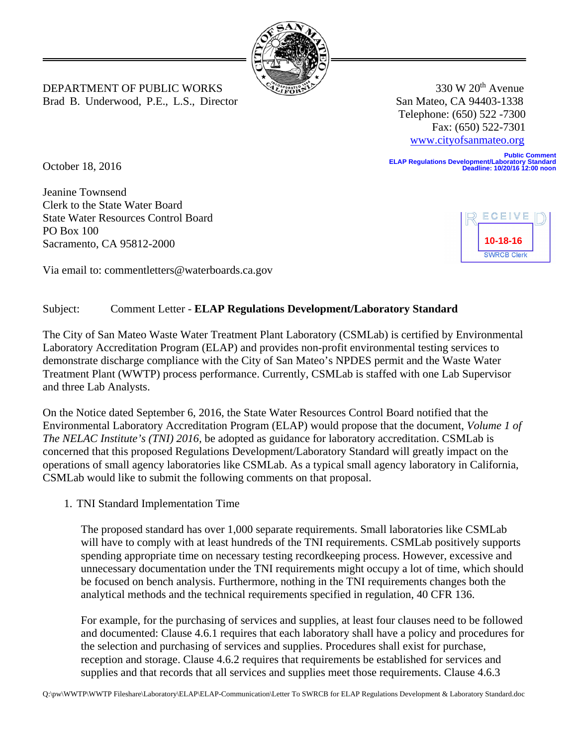

## DEPARTMENT OF PUBLIC WORKS  $\frac{1}{20}$ Brad B. Underwood, P.E., L.S., Director San Mateo, CA 94403-1338

 Telephone: (650) 522 -7300 Fax: (650) 522-7301 www.cityofsanmateo.org

**Public Comment ELAP Regulations Development/Laboratory Standard Deadline: 10/20/16 12:00 noon**

October 18, 2016

Jeanine Townsend Clerk to the State Water Board State Water Resources Control Board PO Box 100 Sacramento, CA 95812-2000



## Subject: Comment Letter - **ELAP Regulations Development/Laboratory Standard**

The City of San Mateo Waste Water Treatment Plant Laboratory (CSMLab) is certified by Environmental Laboratory Accreditation Program (ELAP) and provides non-profit environmental testing services to demonstrate discharge compliance with the City of San Mateo's NPDES permit and the Waste Water Treatment Plant (WWTP) process performance. Currently, CSMLab is staffed with one Lab Supervisor and three Lab Analysts.

On the Notice dated September 6, 2016, the State Water Resources Control Board notified that the Environmental Laboratory Accreditation Program (ELAP) would propose that the document, *Volume 1 of The NELAC Institute's (TNI) 2016,* be adopted as guidance for laboratory accreditation. CSMLab is concerned that this proposed Regulations Development/Laboratory Standard will greatly impact on the operations of small agency laboratories like CSMLab. As a typical small agency laboratory in California, CSMLab would like to submit the following comments on that proposal.

1. TNI Standard Implementation Time

The proposed standard has over 1,000 separate requirements. Small laboratories like CSMLab will have to comply with at least hundreds of the TNI requirements. CSMLab positively supports spending appropriate time on necessary testing recordkeeping process. However, excessive and unnecessary documentation under the TNI requirements might occupy a lot of time, which should be focused on bench analysis. Furthermore, nothing in the TNI requirements changes both the analytical methods and the technical requirements specified in regulation, 40 CFR 136.

For example, for the purchasing of services and supplies, at least four clauses need to be followed and documented: Clause 4.6.1 requires that each laboratory shall have a policy and procedures for the selection and purchasing of services and supplies. Procedures shall exist for purchase, reception and storage. Clause 4.6.2 requires that requirements be established for services and supplies and that records that all services and supplies meet those requirements. Clause 4.6.3